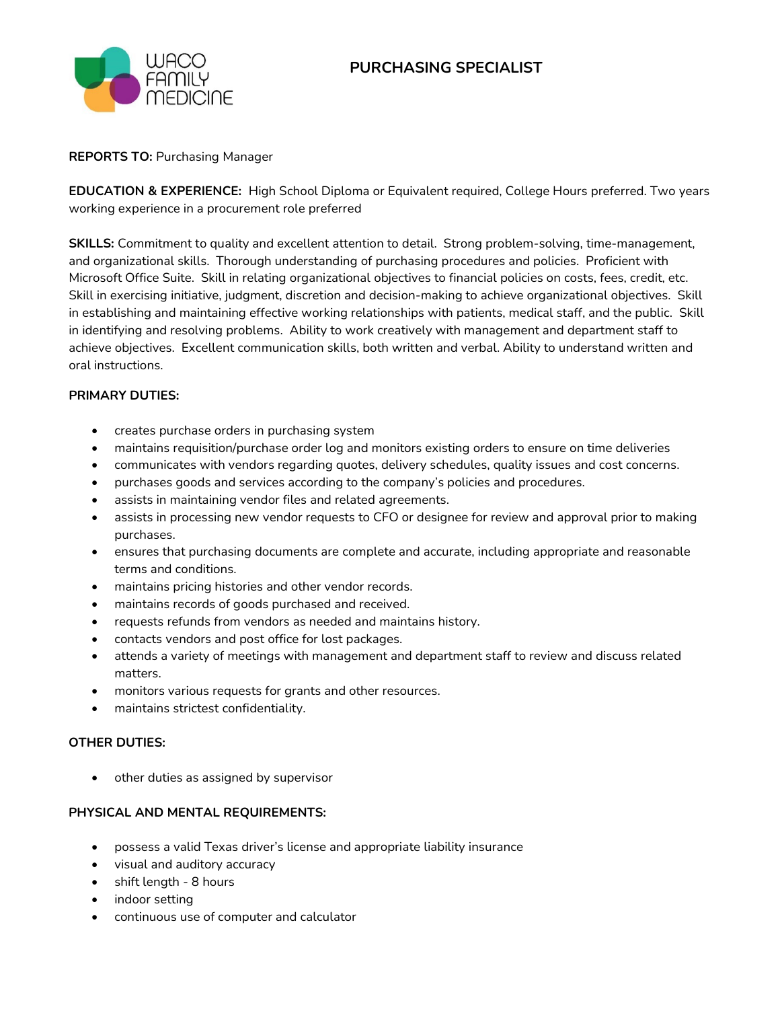

### **REPORTS TO:** Purchasing Manager

**EDUCATION & EXPERIENCE:** High School Diploma or Equivalent required, College Hours preferred. Two years working experience in a procurement role preferred

**SKILLS:** Commitment to quality and excellent attention to detail. Strong problem-solving, time-management, and organizational skills. Thorough understanding of purchasing procedures and policies. Proficient with Microsoft Office Suite. Skill in relating organizational objectives to financial policies on costs, fees, credit, etc. Skill in exercising initiative, judgment, discretion and decision-making to achieve organizational objectives. Skill in establishing and maintaining effective working relationships with patients, medical staff, and the public. Skill in identifying and resolving problems. Ability to work creatively with management and department staff to achieve objectives. Excellent communication skills, both written and verbal. Ability to understand written and oral instructions.

### **PRIMARY DUTIES:**

- creates purchase orders in purchasing system
- maintains requisition/purchase order log and monitors existing orders to ensure on time deliveries
- communicates with vendors regarding quotes, delivery schedules, quality issues and cost concerns.
- purchases goods and services according to the company's policies and procedures.
- assists in maintaining vendor files and related agreements.
- assists in processing new vendor requests to CFO or designee for review and approval prior to making purchases.
- ensures that purchasing documents are complete and accurate, including appropriate and reasonable terms and conditions.
- maintains pricing histories and other vendor records.
- maintains records of goods purchased and received.
- requests refunds from vendors as needed and maintains history.
- contacts vendors and post office for lost packages.
- attends a variety of meetings with management and department staff to review and discuss related matters.
- monitors various requests for grants and other resources.
- maintains strictest confidentiality.

# **OTHER DUTIES:**

other duties as assigned by supervisor

# **PHYSICAL AND MENTAL REQUIREMENTS:**

- possess a valid Texas driver's license and appropriate liability insurance
- visual and auditory accuracy
- shift length 8 hours
- indoor setting
- continuous use of computer and calculator